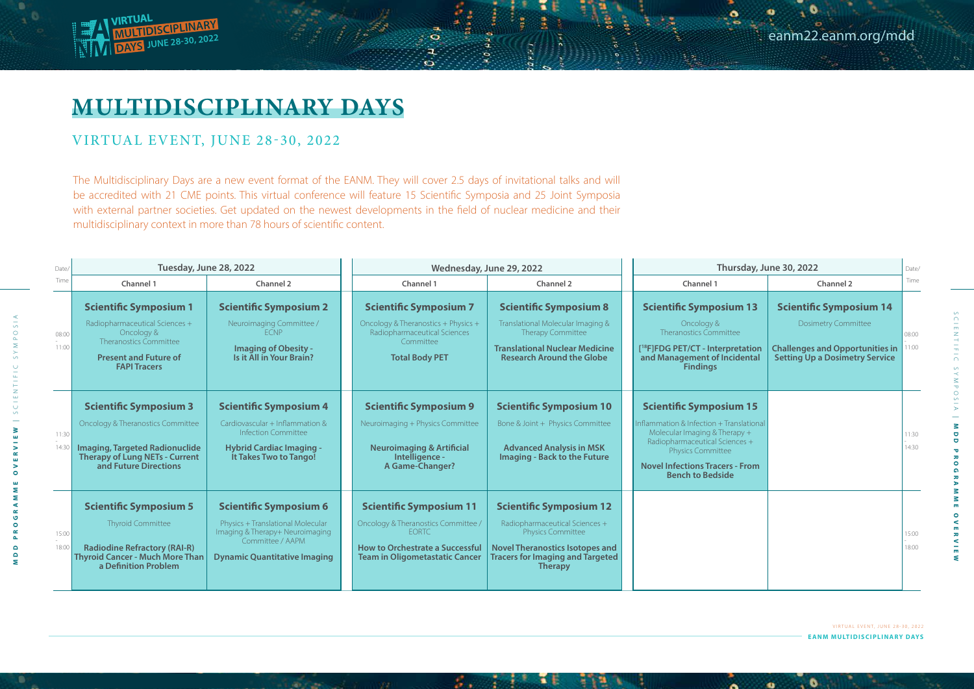The Multidisciplinary Days are a new event format of the EANM. They will cover 2.5 days of invitational talks and will be accredited with 21 CME points. This virtual conference will feature 15 Scientific Symposia and 25 Joint Symposia with external partner societies. Get updated on the newest developments in the field of nuclear medicine and their multidisciplinary context in more than 78 hours of scientific content.

## eanm22.eanm.org/mdd

**EANM MULTIDISCIPLINARY DAYS** VIRTUAL EVENT, JUNE 28-30, 2022

. 6

 $\bullet$ 



## **MULTIDISCIPLINARY DAYS**

## VIRTUAL EVENT, JUNE 28-30, 2022

SCIENTIFIC SYMPOSIA

YMPOSI

NDD

**MDD PROGRAMME OVERVIEW**

Ξ

**OVERVIEW** 

 $\overline{0}$ 

| Date/          | Tuesday, June 28, 2022                                                                                                                                                                   |                                                                                                                                                                  | Wednesday, June 29, 2022                                                                                                                                                 |                                                                                                                                                                                              | Thursday, June 30, 2022                                                                                                                                                                                                                 |                                                                                                                                                 | Date/          |
|----------------|------------------------------------------------------------------------------------------------------------------------------------------------------------------------------------------|------------------------------------------------------------------------------------------------------------------------------------------------------------------|--------------------------------------------------------------------------------------------------------------------------------------------------------------------------|----------------------------------------------------------------------------------------------------------------------------------------------------------------------------------------------|-----------------------------------------------------------------------------------------------------------------------------------------------------------------------------------------------------------------------------------------|-------------------------------------------------------------------------------------------------------------------------------------------------|----------------|
| Time           | Channel 1                                                                                                                                                                                | <b>Channel 2</b>                                                                                                                                                 | Channel 1                                                                                                                                                                | <b>Channel 2</b>                                                                                                                                                                             | <b>Channel 1</b>                                                                                                                                                                                                                        | <b>Channel 2</b>                                                                                                                                | Time           |
| 08:00<br>11:00 | <b>Scientific Symposium 1</b><br>Radiopharmaceutical Sciences +<br>Oncology &<br>Theranostics Committee<br><b>Present and Future of</b><br><b>FAPI Tracers</b>                           | <b>Scientific Symposium 2</b><br>Neuroimaging Committee /<br><b>FCNP</b><br><b>Imaging of Obesity -</b><br>Is it All in Your Brain?                              | <b>Scientific Symposium 7</b><br>Oncology & Theranostics + Physics +<br>Radiopharmaceutical Sciences<br>Committee<br><b>Total Body PET</b>                               | <b>Scientific Symposium 8</b><br>Translational Molecular Imaging &<br>Therapy Committee<br><b>Translational Nuclear Medicine</b><br><b>Research Around the Globe</b>                         | <b>Scientific Symposium 13</b><br>Oncology &<br>Theranostics Committee<br>[ <sup>18</sup> F]FDG PET/CT - Interpretation<br>and Management of Incidental<br><b>Findings</b>                                                              | <b>Scientific Symposium 14</b><br><b>Dosimetry Committee</b><br><b>Challenges and Opportunities in</b><br><b>Setting Up a Dosimetry Service</b> | 08:00<br>11:00 |
| 11:30<br>14:30 | <b>Scientific Symposium 3</b><br><b>Oncology &amp; Theranostics Committee</b><br><b>Imaging, Targeted Radionuclide</b><br><b>Therapy of Lung NETs - Current</b><br>and Future Directions | <b>Scientific Symposium 4</b><br>Cardiovascular + Inflammation &<br><b>Infection Committee</b><br><b>Hybrid Cardiac Imaging -</b><br>It Takes Two to Tango!      | <b>Scientific Symposium 9</b><br>Neuroimaging + Physics Committee<br><b>Neuroimaging &amp; Artificial</b><br>Intelligence -<br>A Game-Changer?                           | <b>Scientific Symposium 10</b><br>Bone & Joint + Physics Committee<br><b>Advanced Analysis in MSK</b><br><b>Imaging - Back to the Future</b>                                                 | <b>Scientific Symposium 15</b><br>Inflammation & Infection + Translational<br>Molecular Imaging & Therapy +<br>Radiopharmaceutical Sciences +<br>Physics Committee<br><b>Novel Infections Tracers - From</b><br><b>Bench to Bedside</b> |                                                                                                                                                 | 11:30<br>14:30 |
| 15:00<br>18:00 | <b>Scientific Symposium 5</b><br>Thyroid Committee<br><b>Radiodine Refractory (RAI-R)</b><br><b>Thyroid Cancer - Much More Than</b><br>a Definition Problem                              | <b>Scientific Symposium 6</b><br>Physics + Translational Molecular<br>Imaging & Therapy+ Neuroimaging<br>Committee / AAPM<br><b>Dynamic Quantitative Imaging</b> | <b>Scientific Symposium 11</b><br>Oncology & Theranostics Committee /<br><b>EORTC</b><br><b>How to Orchestrate a Successful</b><br><b>Team in Oligometastatic Cancer</b> | <b>Scientific Symposium 12</b><br>Radiopharmaceutical Sciences +<br>Physics Committee<br><b>Novel Theranostics Isotopes and</b><br><b>Tracers for Imaging and Targeted</b><br><b>Therapy</b> |                                                                                                                                                                                                                                         |                                                                                                                                                 | 15:00<br>18:00 |